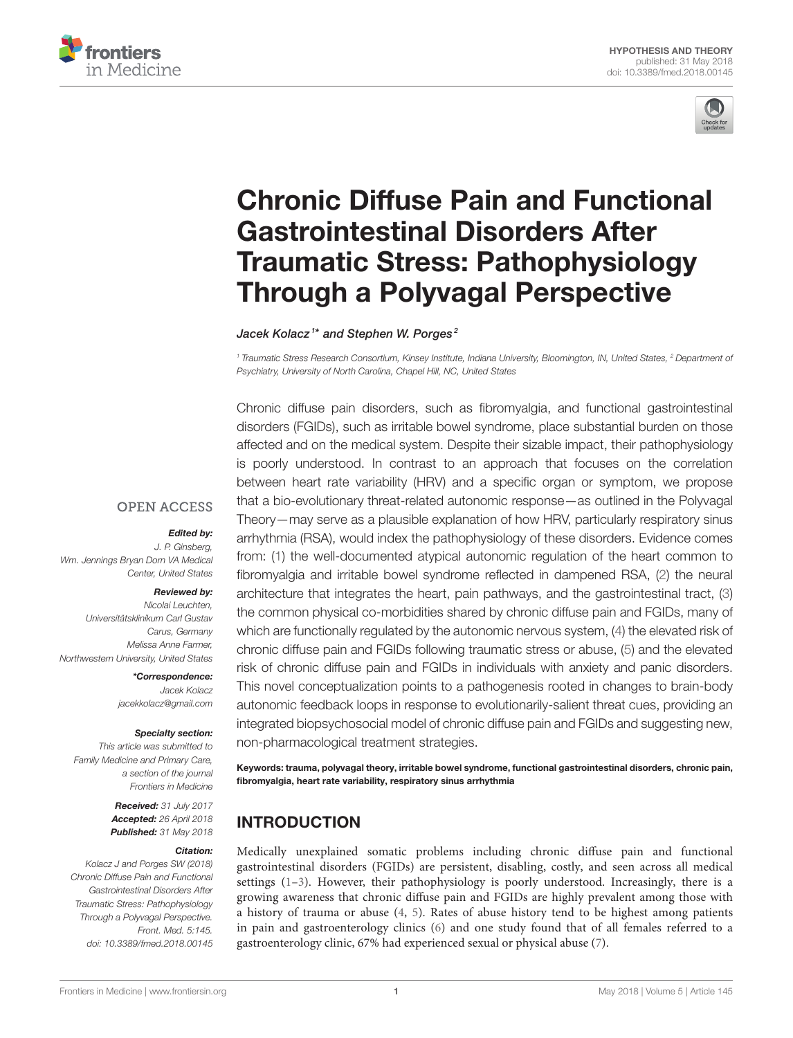



# [Chronic Diffuse Pain and Functional](https://www.frontiersin.org/articles/10.3389/fmed.2018.00145/full) Gastrointestinal Disorders After Traumatic Stress: Pathophysiology Through a Polyvagal Perspective

[Jacek Kolacz](http://loop.frontiersin.org/people/446300/overview)<sup>1\*</sup> and [Stephen W. Porges](http://loop.frontiersin.org/people/85094/overview)<sup>2</sup>

<sup>1</sup> Traumatic Stress Research Consortium, Kinsey Institute, Indiana University, Bloomington, IN, United States, <sup>2</sup> Department of Psychiatry, University of North Carolina, Chapel Hill, NC, United States

Chronic diffuse pain disorders, such as fibromyalgia, and functional gastrointestinal disorders (FGIDs), such as irritable bowel syndrome, place substantial burden on those affected and on the medical system. Despite their sizable impact, their pathophysiology is poorly understood. In contrast to an approach that focuses on the correlation between heart rate variability (HRV) and a specific organ or symptom, we propose that a bio-evolutionary threat-related autonomic response—as outlined in the Polyvagal Theory—may serve as a plausible explanation of how HRV, particularly respiratory sinus arrhythmia (RSA), would index the pathophysiology of these disorders. Evidence comes from: [\(1\)](#page-8-0) the well-documented atypical autonomic regulation of the heart common to fibromyalgia and irritable bowel syndrome reflected in dampened RSA, [\(2\)](#page-8-1) the neural architecture that integrates the heart, pain pathways, and the gastrointestinal tract, [\(3\)](#page-8-2) the common physical co-morbidities shared by chronic diffuse pain and FGIDs, many of which are functionally regulated by the autonomic nervous system, [\(4\)](#page-8-3) the elevated risk of chronic diffuse pain and FGIDs following traumatic stress or abuse, [\(5\)](#page-8-4) and the elevated risk of chronic diffuse pain and FGIDs in individuals with anxiety and panic disorders. This novel conceptualization points to a pathogenesis rooted in changes to brain-body autonomic feedback loops in response to evolutionarily-salient threat cues, providing an integrated biopsychosocial model of chronic diffuse pain and FGIDs and suggesting new, non-pharmacological treatment strategies.

Keywords: trauma, polyvagal theory, irritable bowel syndrome, functional gastrointestinal disorders, chronic pain, fibromyalgia, heart rate variability, respiratory sinus arrhythmia

# INTRODUCTION

Medically unexplained somatic problems including chronic diffuse pain and functional gastrointestinal disorders (FGIDs) are persistent, disabling, costly, and seen across all medical settings  $(1-3)$  $(1-3)$ . However, their pathophysiology is poorly understood. Increasingly, there is a growing awareness that chronic diffuse pain and FGIDs are highly prevalent among those with a history of trauma or abuse [\(4,](#page-8-3) [5\)](#page-8-4). Rates of abuse history tend to be highest among patients in pain and gastroenterology clinics [\(6\)](#page-8-5) and one study found that of all females referred to a gastroenterology clinic, 67% had experienced sexual or physical abuse [\(7\)](#page-8-6).

#### **OPEN ACCESS**

#### Edited by:

J. P. Ginsberg, Wm. Jennings Bryan Dorn VA Medical Center, United States

#### Reviewed by:

Nicolai Leuchten, Universitätsklinikum Carl Gustav Carus, Germany Melissa Anne Farmer, Northwestern University, United States

> \*Correspondence: Jacek Kolacz [jacekkolacz@gmail.com](mailto:jacekkolacz@gmail.com)

#### Specialty section:

This article was submitted to Family Medicine and Primary Care, a section of the journal Frontiers in Medicine

> Received: 31 July 2017 Accepted: 26 April 2018 Published: 31 May 2018

#### Citation:

Kolacz J and Porges SW (2018) Chronic Diffuse Pain and Functional Gastrointestinal Disorders After Traumatic Stress: Pathophysiology Through a Polyvagal Perspective. Front. Med. 5:145. doi: [10.3389/fmed.2018.00145](https://doi.org/10.3389/fmed.2018.00145)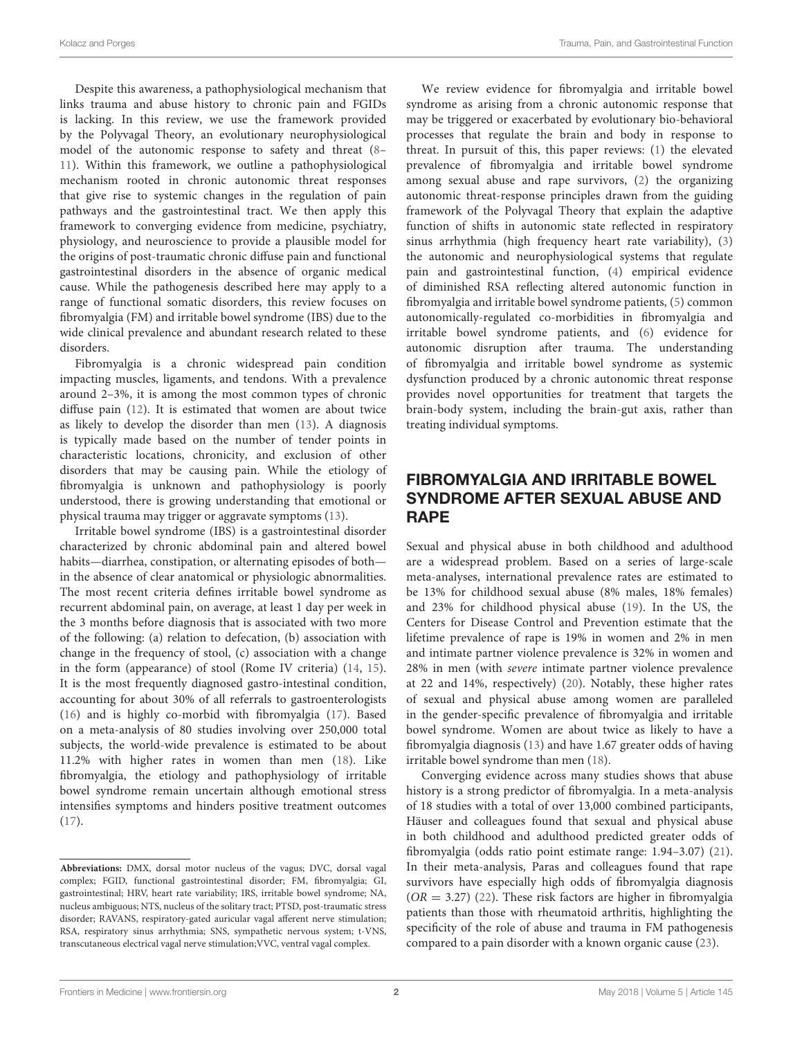Despite this awareness, a pathophysiological mechanism that links trauma and abuse history to chronic pain and FGIDs is lacking. In this review, we use the framework provided by the Polyvagal Theory, an evolutionary neurophysiological model of the autonomic response to safety and threat [\(8–](#page-8-7) [11\)](#page-8-8). Within this framework, we outline a pathophysiological mechanism rooted in chronic autonomic threat responses that give rise to systemic changes in the regulation of pain pathways and the gastrointestinal tract. We then apply this framework to converging evidence from medicine, psychiatry, physiology, and neuroscience to provide a plausible model for the origins of post-traumatic chronic diffuse pain and functional gastrointestinal disorders in the absence of organic medical cause. While the pathogenesis described here may apply to a range of functional somatic disorders, this review focuses on fibromyalgia (FM) and irritable bowel syndrome (IBS) due to the wide clinical prevalence and abundant research related to these disorders.

Fibromyalgia is a chronic widespread pain condition impacting muscles, ligaments, and tendons. With a prevalence around 2–3%, it is among the most common types of chronic diffuse pain [\(12\)](#page-8-9). It is estimated that women are about twice as likely to develop the disorder than men [\(13\)](#page-8-10). A diagnosis is typically made based on the number of tender points in characteristic locations, chronicity, and exclusion of other disorders that may be causing pain. While the etiology of fibromyalgia is unknown and pathophysiology is poorly understood, there is growing understanding that emotional or physical trauma may trigger or aggravate symptoms [\(13\)](#page-8-10).

Irritable bowel syndrome (IBS) is a gastrointestinal disorder characterized by chronic abdominal pain and altered bowel habits—diarrhea, constipation, or alternating episodes of both in the absence of clear anatomical or physiologic abnormalities. The most recent criteria defines irritable bowel syndrome as recurrent abdominal pain, on average, at least 1 day per week in the 3 months before diagnosis that is associated with two more of the following: (a) relation to defecation, (b) association with change in the frequency of stool, (c) association with a change in the form (appearance) of stool (Rome IV criteria) [\(14,](#page-8-11) [15\)](#page-8-12). It is the most frequently diagnosed gastro-intestinal condition, accounting for about 30% of all referrals to gastroenterologists [\(16\)](#page-8-13) and is highly co-morbid with fibromyalgia [\(17\)](#page-8-14). Based on a meta-analysis of 80 studies involving over 250,000 total subjects, the world-wide prevalence is estimated to be about 11.2% with higher rates in women than men [\(18\)](#page-8-15). Like fibromyalgia, the etiology and pathophysiology of irritable bowel syndrome remain uncertain although emotional stress intensifies symptoms and hinders positive treatment outcomes [\(17\)](#page-8-14).

We review evidence for fibromyalgia and irritable bowel syndrome as arising from a chronic autonomic response that may be triggered or exacerbated by evolutionary bio-behavioral processes that regulate the brain and body in response to threat. In pursuit of this, this paper reviews: [\(1\)](#page-8-0) the elevated prevalence of fibromyalgia and irritable bowel syndrome among sexual abuse and rape survivors, [\(2\)](#page-8-1) the organizing autonomic threat-response principles drawn from the guiding framework of the Polyvagal Theory that explain the adaptive function of shifts in autonomic state reflected in respiratory sinus arrhythmia (high frequency heart rate variability), [\(3\)](#page-8-2) the autonomic and neurophysiological systems that regulate pain and gastrointestinal function, [\(4\)](#page-8-3) empirical evidence of diminished RSA reflecting altered autonomic function in fibromyalgia and irritable bowel syndrome patients, [\(5\)](#page-8-4) common autonomically-regulated co-morbidities in fibromyalgia and irritable bowel syndrome patients, and [\(6\)](#page-8-5) evidence for autonomic disruption after trauma. The understanding of fibromyalgia and irritable bowel syndrome as systemic dysfunction produced by a chronic autonomic threat response provides novel opportunities for treatment that targets the brain-body system, including the brain-gut axis, rather than treating individual symptoms.

# FIBROMYALGIA AND IRRITABLE BOWEL SYNDROME AFTER SEXUAL ABUSE AND RAPE

Sexual and physical abuse in both childhood and adulthood are a widespread problem. Based on a series of large-scale meta-analyses, international prevalence rates are estimated to be 13% for childhood sexual abuse (8% males, 18% females) and 23% for childhood physical abuse [\(19\)](#page-8-16). In the US, the Centers for Disease Control and Prevention estimate that the lifetime prevalence of rape is 19% in women and 2% in men and intimate partner violence prevalence is 32% in women and 28% in men (with severe intimate partner violence prevalence at 22 and 14%, respectively) [\(20\)](#page-9-0). Notably, these higher rates of sexual and physical abuse among women are paralleled in the gender-specific prevalence of fibromyalgia and irritable bowel syndrome. Women are about twice as likely to have a fibromyalgia diagnosis [\(13\)](#page-8-10) and have 1.67 greater odds of having irritable bowel syndrome than men [\(18\)](#page-8-15).

Converging evidence across many studies shows that abuse history is a strong predictor of fibromyalgia. In a meta-analysis of 18 studies with a total of over 13,000 combined participants, Häuser and colleagues found that sexual and physical abuse in both childhood and adulthood predicted greater odds of fibromyalgia (odds ratio point estimate range: 1.94–3.07) [\(21\)](#page-9-1). In their meta-analysis, Paras and colleagues found that rape survivors have especially high odds of fibromyalgia diagnosis  $(OR = 3.27)$  [\(22\)](#page-9-2). These risk factors are higher in fibromyalgia patients than those with rheumatoid arthritis, highlighting the specificity of the role of abuse and trauma in FM pathogenesis compared to a pain disorder with a known organic cause [\(23\)](#page-9-3).

**Abbreviations:** DMX, dorsal motor nucleus of the vagus; DVC, dorsal vagal complex; FGID, functional gastrointestinal disorder; FM, fibromyalgia; GI, gastrointestinal; HRV, heart rate variability; IRS, irritable bowel syndrome; NA, nucleus ambiguous; NTS, nucleus of the solitary tract; PTSD, post-traumatic stress disorder; RAVANS, respiratory-gated auricular vagal afferent nerve stimulation; RSA, respiratory sinus arrhythmia; SNS, sympathetic nervous system; t-VNS, transcutaneous electrical vagal nerve stimulation;VVC, ventral vagal complex.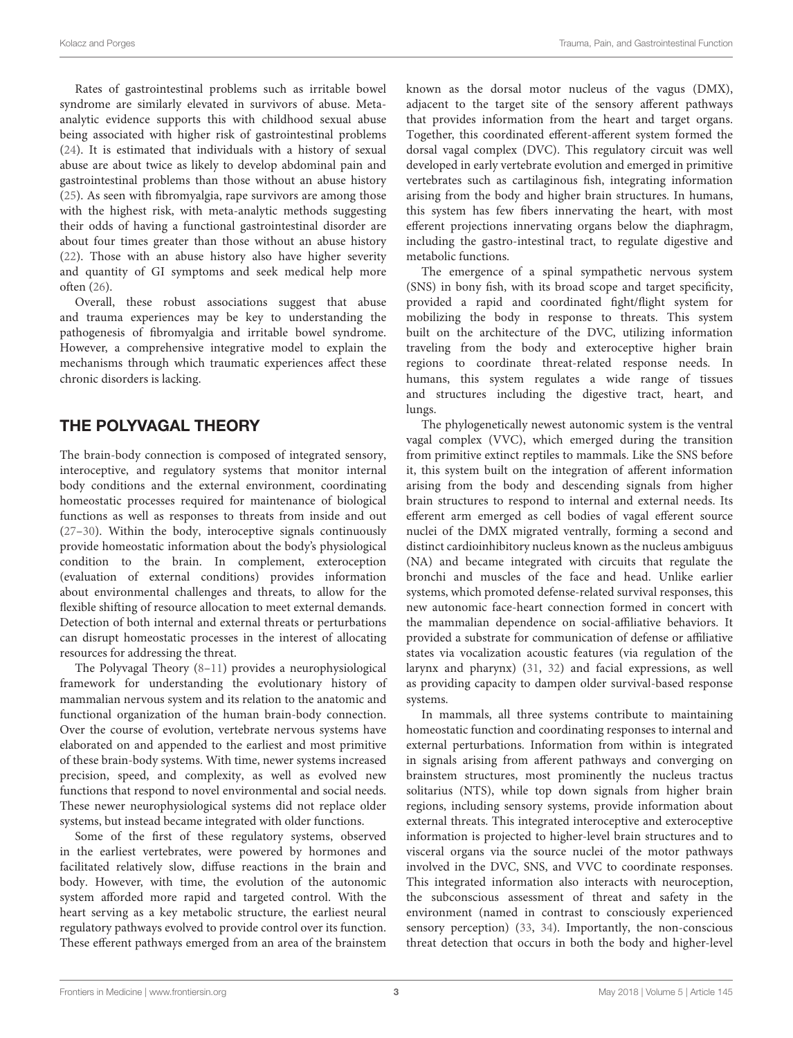Rates of gastrointestinal problems such as irritable bowel syndrome are similarly elevated in survivors of abuse. Metaanalytic evidence supports this with childhood sexual abuse being associated with higher risk of gastrointestinal problems [\(24\)](#page-9-4). It is estimated that individuals with a history of sexual abuse are about twice as likely to develop abdominal pain and gastrointestinal problems than those without an abuse history [\(25\)](#page-9-5). As seen with fibromyalgia, rape survivors are among those with the highest risk, with meta-analytic methods suggesting their odds of having a functional gastrointestinal disorder are about four times greater than those without an abuse history [\(22\)](#page-9-2). Those with an abuse history also have higher severity and quantity of GI symptoms and seek medical help more often [\(26\)](#page-9-6).

Overall, these robust associations suggest that abuse and trauma experiences may be key to understanding the pathogenesis of fibromyalgia and irritable bowel syndrome. However, a comprehensive integrative model to explain the mechanisms through which traumatic experiences affect these chronic disorders is lacking.

# THE POLYVAGAL THEORY

The brain-body connection is composed of integrated sensory, interoceptive, and regulatory systems that monitor internal body conditions and the external environment, coordinating homeostatic processes required for maintenance of biological functions as well as responses to threats from inside and out [\(27](#page-9-7)[–30\)](#page-9-8). Within the body, interoceptive signals continuously provide homeostatic information about the body's physiological condition to the brain. In complement, exteroception (evaluation of external conditions) provides information about environmental challenges and threats, to allow for the flexible shifting of resource allocation to meet external demands. Detection of both internal and external threats or perturbations can disrupt homeostatic processes in the interest of allocating resources for addressing the threat.

The Polyvagal Theory [\(8](#page-8-7)[–11\)](#page-8-8) provides a neurophysiological framework for understanding the evolutionary history of mammalian nervous system and its relation to the anatomic and functional organization of the human brain-body connection. Over the course of evolution, vertebrate nervous systems have elaborated on and appended to the earliest and most primitive of these brain-body systems. With time, newer systems increased precision, speed, and complexity, as well as evolved new functions that respond to novel environmental and social needs. These newer neurophysiological systems did not replace older systems, but instead became integrated with older functions.

Some of the first of these regulatory systems, observed in the earliest vertebrates, were powered by hormones and facilitated relatively slow, diffuse reactions in the brain and body. However, with time, the evolution of the autonomic system afforded more rapid and targeted control. With the heart serving as a key metabolic structure, the earliest neural regulatory pathways evolved to provide control over its function. These efferent pathways emerged from an area of the brainstem known as the dorsal motor nucleus of the vagus (DMX), adjacent to the target site of the sensory afferent pathways that provides information from the heart and target organs. Together, this coordinated efferent-afferent system formed the dorsal vagal complex (DVC). This regulatory circuit was well developed in early vertebrate evolution and emerged in primitive vertebrates such as cartilaginous fish, integrating information arising from the body and higher brain structures. In humans, this system has few fibers innervating the heart, with most efferent projections innervating organs below the diaphragm, including the gastro-intestinal tract, to regulate digestive and metabolic functions.

The emergence of a spinal sympathetic nervous system (SNS) in bony fish, with its broad scope and target specificity, provided a rapid and coordinated fight/flight system for mobilizing the body in response to threats. This system built on the architecture of the DVC, utilizing information traveling from the body and exteroceptive higher brain regions to coordinate threat-related response needs. In humans, this system regulates a wide range of tissues and structures including the digestive tract, heart, and lungs.

The phylogenetically newest autonomic system is the ventral vagal complex (VVC), which emerged during the transition from primitive extinct reptiles to mammals. Like the SNS before it, this system built on the integration of afferent information arising from the body and descending signals from higher brain structures to respond to internal and external needs. Its efferent arm emerged as cell bodies of vagal efferent source nuclei of the DMX migrated ventrally, forming a second and distinct cardioinhibitory nucleus known as the nucleus ambiguus (NA) and became integrated with circuits that regulate the bronchi and muscles of the face and head. Unlike earlier systems, which promoted defense-related survival responses, this new autonomic face-heart connection formed in concert with the mammalian dependence on social-affiliative behaviors. It provided a substrate for communication of defense or affiliative states via vocalization acoustic features (via regulation of the larynx and pharynx) [\(31,](#page-9-9) [32\)](#page-9-10) and facial expressions, as well as providing capacity to dampen older survival-based response systems.

In mammals, all three systems contribute to maintaining homeostatic function and coordinating responses to internal and external perturbations. Information from within is integrated in signals arising from afferent pathways and converging on brainstem structures, most prominently the nucleus tractus solitarius (NTS), while top down signals from higher brain regions, including sensory systems, provide information about external threats. This integrated interoceptive and exteroceptive information is projected to higher-level brain structures and to visceral organs via the source nuclei of the motor pathways involved in the DVC, SNS, and VVC to coordinate responses. This integrated information also interacts with neuroception, the subconscious assessment of threat and safety in the environment (named in contrast to consciously experienced sensory perception) [\(33,](#page-9-11) [34\)](#page-9-12). Importantly, the non-conscious threat detection that occurs in both the body and higher-level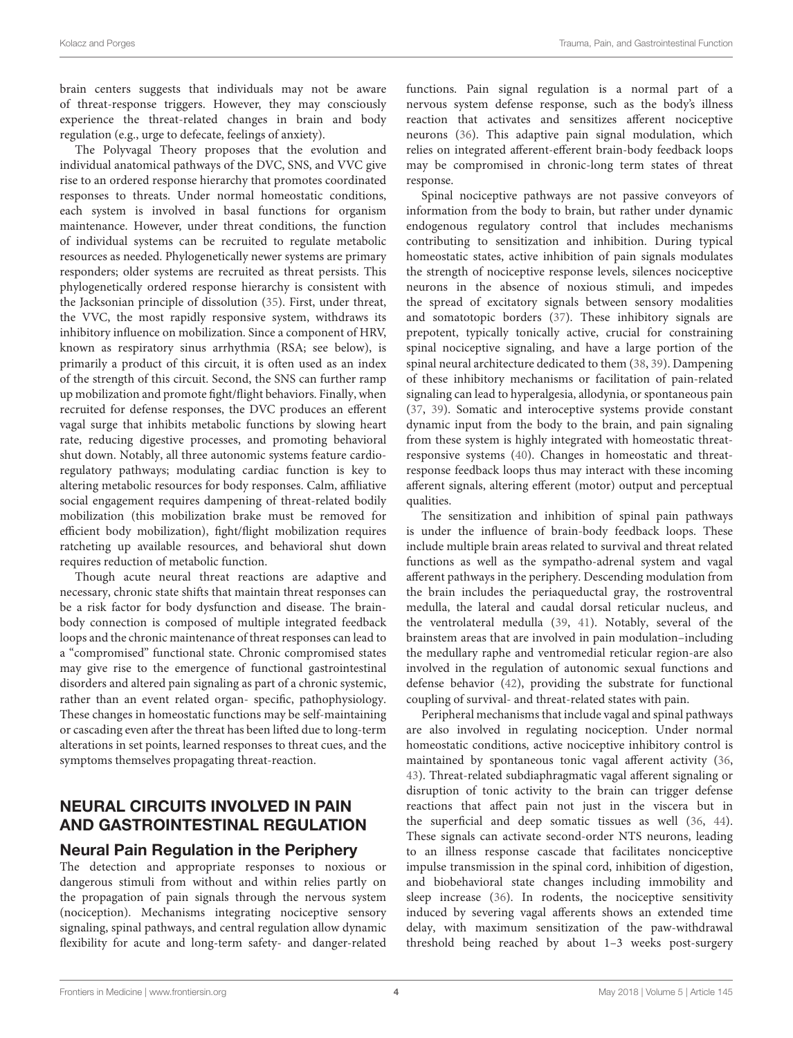brain centers suggests that individuals may not be aware of threat-response triggers. However, they may consciously experience the threat-related changes in brain and body regulation (e.g., urge to defecate, feelings of anxiety).

The Polyvagal Theory proposes that the evolution and individual anatomical pathways of the DVC, SNS, and VVC give rise to an ordered response hierarchy that promotes coordinated responses to threats. Under normal homeostatic conditions, each system is involved in basal functions for organism maintenance. However, under threat conditions, the function of individual systems can be recruited to regulate metabolic resources as needed. Phylogenetically newer systems are primary responders; older systems are recruited as threat persists. This phylogenetically ordered response hierarchy is consistent with the Jacksonian principle of dissolution [\(35\)](#page-9-13). First, under threat, the VVC, the most rapidly responsive system, withdraws its inhibitory influence on mobilization. Since a component of HRV, known as respiratory sinus arrhythmia (RSA; see below), is primarily a product of this circuit, it is often used as an index of the strength of this circuit. Second, the SNS can further ramp up mobilization and promote fight/flight behaviors. Finally, when recruited for defense responses, the DVC produces an efferent vagal surge that inhibits metabolic functions by slowing heart rate, reducing digestive processes, and promoting behavioral shut down. Notably, all three autonomic systems feature cardioregulatory pathways; modulating cardiac function is key to altering metabolic resources for body responses. Calm, affiliative social engagement requires dampening of threat-related bodily mobilization (this mobilization brake must be removed for efficient body mobilization), fight/flight mobilization requires ratcheting up available resources, and behavioral shut down requires reduction of metabolic function.

Though acute neural threat reactions are adaptive and necessary, chronic state shifts that maintain threat responses can be a risk factor for body dysfunction and disease. The brainbody connection is composed of multiple integrated feedback loops and the chronic maintenance of threat responses can lead to a "compromised" functional state. Chronic compromised states may give rise to the emergence of functional gastrointestinal disorders and altered pain signaling as part of a chronic systemic, rather than an event related organ- specific, pathophysiology. These changes in homeostatic functions may be self-maintaining or cascading even after the threat has been lifted due to long-term alterations in set points, learned responses to threat cues, and the symptoms themselves propagating threat-reaction.

# NEURAL CIRCUITS INVOLVED IN PAIN AND GASTROINTESTINAL REGULATION

#### Neural Pain Regulation in the Periphery

The detection and appropriate responses to noxious or dangerous stimuli from without and within relies partly on the propagation of pain signals through the nervous system (nociception). Mechanisms integrating nociceptive sensory signaling, spinal pathways, and central regulation allow dynamic flexibility for acute and long-term safety- and danger-related functions. Pain signal regulation is a normal part of a nervous system defense response, such as the body's illness reaction that activates and sensitizes afferent nociceptive neurons [\(36\)](#page-9-14). This adaptive pain signal modulation, which relies on integrated afferent-efferent brain-body feedback loops may be compromised in chronic-long term states of threat response.

Spinal nociceptive pathways are not passive conveyors of information from the body to brain, but rather under dynamic endogenous regulatory control that includes mechanisms contributing to sensitization and inhibition. During typical homeostatic states, active inhibition of pain signals modulates the strength of nociceptive response levels, silences nociceptive neurons in the absence of noxious stimuli, and impedes the spread of excitatory signals between sensory modalities and somatotopic borders [\(37\)](#page-9-15). These inhibitory signals are prepotent, typically tonically active, crucial for constraining spinal nociceptive signaling, and have a large portion of the spinal neural architecture dedicated to them [\(38,](#page-9-16) [39\)](#page-9-17). Dampening of these inhibitory mechanisms or facilitation of pain-related signaling can lead to hyperalgesia, allodynia, or spontaneous pain [\(37,](#page-9-15) [39\)](#page-9-17). Somatic and interoceptive systems provide constant dynamic input from the body to the brain, and pain signaling from these system is highly integrated with homeostatic threatresponsive systems [\(40\)](#page-9-18). Changes in homeostatic and threatresponse feedback loops thus may interact with these incoming afferent signals, altering efferent (motor) output and perceptual qualities.

The sensitization and inhibition of spinal pain pathways is under the influence of brain-body feedback loops. These include multiple brain areas related to survival and threat related functions as well as the sympatho-adrenal system and vagal afferent pathways in the periphery. Descending modulation from the brain includes the periaqueductal gray, the rostroventral medulla, the lateral and caudal dorsal reticular nucleus, and the ventrolateral medulla [\(39,](#page-9-17) [41\)](#page-9-19). Notably, several of the brainstem areas that are involved in pain modulation–including the medullary raphe and ventromedial reticular region-are also involved in the regulation of autonomic sexual functions and defense behavior [\(42\)](#page-9-20), providing the substrate for functional coupling of survival- and threat-related states with pain.

Peripheral mechanisms that include vagal and spinal pathways are also involved in regulating nociception. Under normal homeostatic conditions, active nociceptive inhibitory control is maintained by spontaneous tonic vagal afferent activity [\(36,](#page-9-14) [43\)](#page-9-21). Threat-related subdiaphragmatic vagal afferent signaling or disruption of tonic activity to the brain can trigger defense reactions that affect pain not just in the viscera but in the superficial and deep somatic tissues as well [\(36,](#page-9-14) [44\)](#page-9-22). These signals can activate second-order NTS neurons, leading to an illness response cascade that facilitates nonciceptive impulse transmission in the spinal cord, inhibition of digestion, and biobehavioral state changes including immobility and sleep increase [\(36\)](#page-9-14). In rodents, the nociceptive sensitivity induced by severing vagal afferents shows an extended time delay, with maximum sensitization of the paw-withdrawal threshold being reached by about 1–3 weeks post-surgery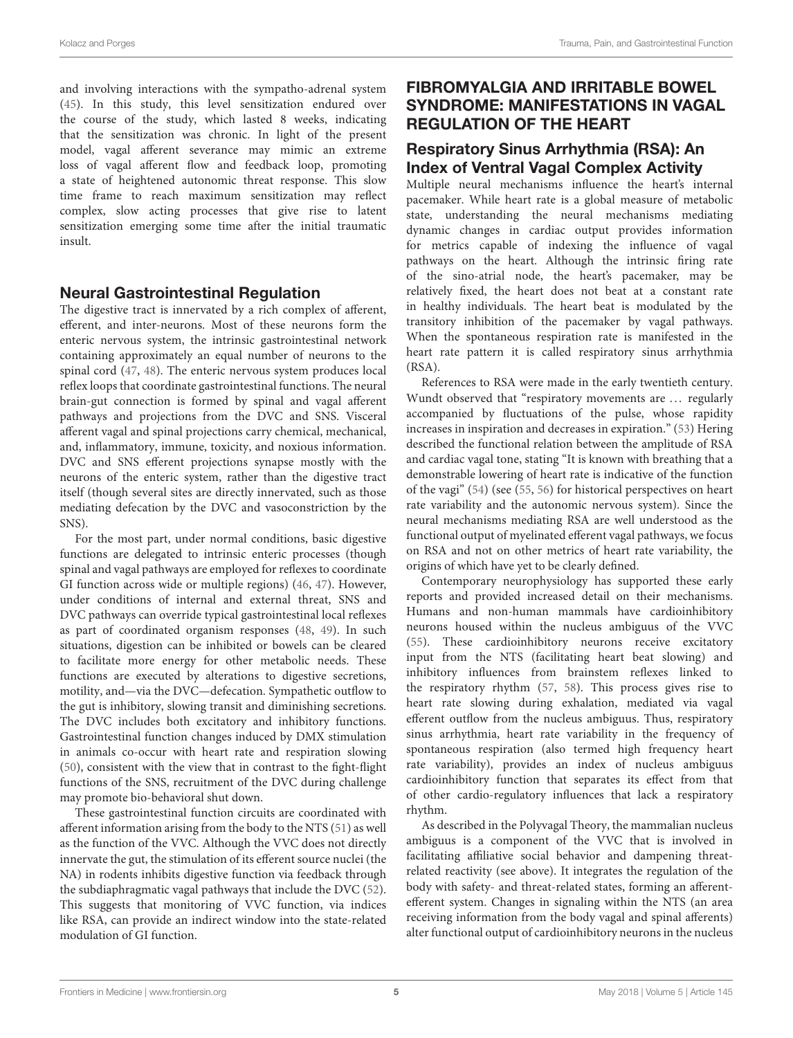and involving interactions with the sympatho-adrenal system [\(45\)](#page-9-23). In this study, this level sensitization endured over the course of the study, which lasted 8 weeks, indicating that the sensitization was chronic. In light of the present model, vagal afferent severance may mimic an extreme loss of vagal afferent flow and feedback loop, promoting a state of heightened autonomic threat response. This slow time frame to reach maximum sensitization may reflect complex, slow acting processes that give rise to latent sensitization emerging some time after the initial traumatic insult.

## Neural Gastrointestinal Regulation

The digestive tract is innervated by a rich complex of afferent, efferent, and inter-neurons. Most of these neurons form the enteric nervous system, the intrinsic gastrointestinal network containing approximately an equal number of neurons to the spinal cord [\(47,](#page-9-24) [48\)](#page-9-25). The enteric nervous system produces local reflex loops that coordinate gastrointestinal functions. The neural brain-gut connection is formed by spinal and vagal afferent pathways and projections from the DVC and SNS. Visceral afferent vagal and spinal projections carry chemical, mechanical, and, inflammatory, immune, toxicity, and noxious information. DVC and SNS efferent projections synapse mostly with the neurons of the enteric system, rather than the digestive tract itself (though several sites are directly innervated, such as those mediating defecation by the DVC and vasoconstriction by the SNS).

For the most part, under normal conditions, basic digestive functions are delegated to intrinsic enteric processes (though spinal and vagal pathways are employed for reflexes to coordinate GI function across wide or multiple regions) [\(46,](#page-9-26) [47\)](#page-9-24). However, under conditions of internal and external threat, SNS and DVC pathways can override typical gastrointestinal local reflexes as part of coordinated organism responses [\(48,](#page-9-25) [49\)](#page-9-27). In such situations, digestion can be inhibited or bowels can be cleared to facilitate more energy for other metabolic needs. These functions are executed by alterations to digestive secretions, motility, and—via the DVC—defecation. Sympathetic outflow to the gut is inhibitory, slowing transit and diminishing secretions. The DVC includes both excitatory and inhibitory functions. Gastrointestinal function changes induced by DMX stimulation in animals co-occur with heart rate and respiration slowing [\(50\)](#page-9-28), consistent with the view that in contrast to the fight-flight functions of the SNS, recruitment of the DVC during challenge may promote bio-behavioral shut down.

These gastrointestinal function circuits are coordinated with afferent information arising from the body to the NTS [\(51\)](#page-9-29) as well as the function of the VVC. Although the VVC does not directly innervate the gut, the stimulation of its efferent source nuclei (the NA) in rodents inhibits digestive function via feedback through the subdiaphragmatic vagal pathways that include the DVC [\(52\)](#page-9-30). This suggests that monitoring of VVC function, via indices like RSA, can provide an indirect window into the state-related modulation of GI function.

# FIBROMYALGIA AND IRRITABLE BOWEL SYNDROME: MANIFESTATIONS IN VAGAL REGULATION OF THE HEART

#### Respiratory Sinus Arrhythmia (RSA): An Index of Ventral Vagal Complex Activity

Multiple neural mechanisms influence the heart's internal pacemaker. While heart rate is a global measure of metabolic state, understanding the neural mechanisms mediating dynamic changes in cardiac output provides information for metrics capable of indexing the influence of vagal pathways on the heart. Although the intrinsic firing rate of the sino-atrial node, the heart's pacemaker, may be relatively fixed, the heart does not beat at a constant rate in healthy individuals. The heart beat is modulated by the transitory inhibition of the pacemaker by vagal pathways. When the spontaneous respiration rate is manifested in the heart rate pattern it is called respiratory sinus arrhythmia (RSA).

References to RSA were made in the early twentieth century. Wundt observed that "respiratory movements are ... regularly accompanied by fluctuations of the pulse, whose rapidity increases in inspiration and decreases in expiration." [\(53\)](#page-9-31) Hering described the functional relation between the amplitude of RSA and cardiac vagal tone, stating "It is known with breathing that a demonstrable lowering of heart rate is indicative of the function of the vagi" [\(54\)](#page-9-32) (see [\(55,](#page-9-33) [56\)](#page-9-34) for historical perspectives on heart rate variability and the autonomic nervous system). Since the neural mechanisms mediating RSA are well understood as the functional output of myelinated efferent vagal pathways, we focus on RSA and not on other metrics of heart rate variability, the origins of which have yet to be clearly defined.

Contemporary neurophysiology has supported these early reports and provided increased detail on their mechanisms. Humans and non-human mammals have cardioinhibitory neurons housed within the nucleus ambiguus of the VVC [\(55\)](#page-9-33). These cardioinhibitory neurons receive excitatory input from the NTS (facilitating heart beat slowing) and inhibitory influences from brainstem reflexes linked to the respiratory rhythm [\(57,](#page-9-35) [58\)](#page-9-36). This process gives rise to heart rate slowing during exhalation, mediated via vagal efferent outflow from the nucleus ambiguus. Thus, respiratory sinus arrhythmia, heart rate variability in the frequency of spontaneous respiration (also termed high frequency heart rate variability), provides an index of nucleus ambiguus cardioinhibitory function that separates its effect from that of other cardio-regulatory influences that lack a respiratory rhythm.

As described in the Polyvagal Theory, the mammalian nucleus ambiguus is a component of the VVC that is involved in facilitating affiliative social behavior and dampening threatrelated reactivity (see above). It integrates the regulation of the body with safety- and threat-related states, forming an afferentefferent system. Changes in signaling within the NTS (an area receiving information from the body vagal and spinal afferents) alter functional output of cardioinhibitory neurons in the nucleus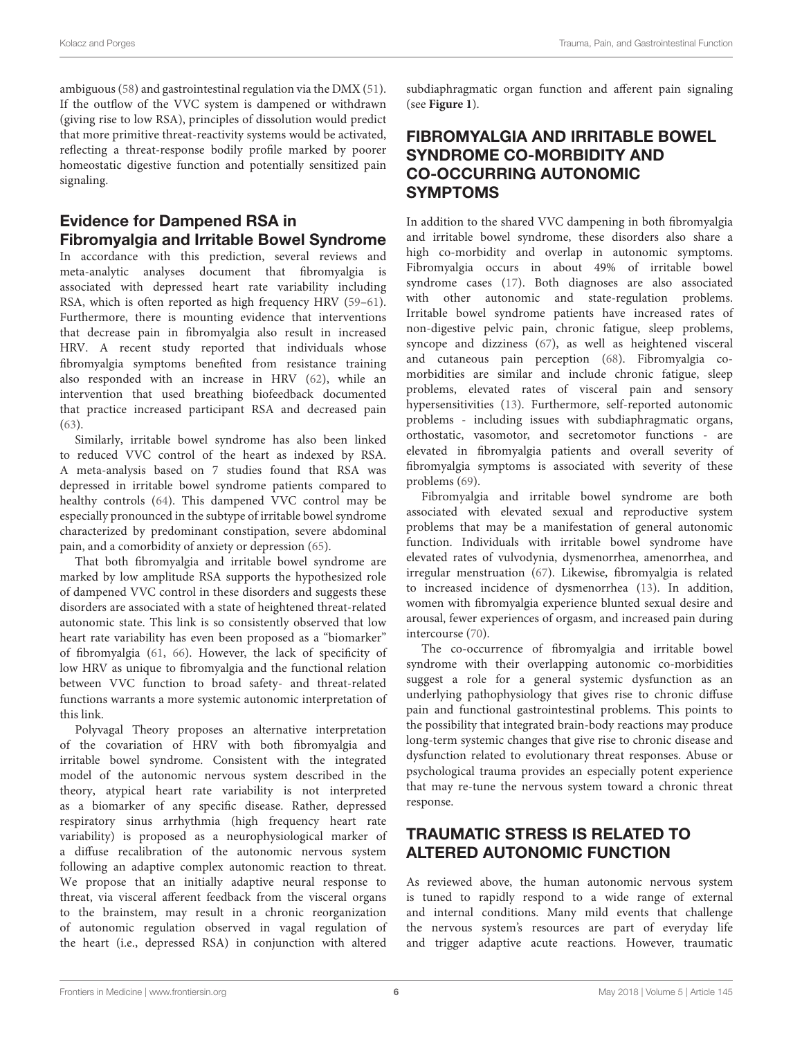ambiguous [\(58\)](#page-9-36) and gastrointestinal regulation via the DMX [\(51\)](#page-9-29). If the outflow of the VVC system is dampened or withdrawn (giving rise to low RSA), principles of dissolution would predict that more primitive threat-reactivity systems would be activated, reflecting a threat-response bodily profile marked by poorer homeostatic digestive function and potentially sensitized pain signaling.

# Evidence for Dampened RSA in Fibromyalgia and Irritable Bowel Syndrome

In accordance with this prediction, several reviews and meta-analytic analyses document that fibromyalgia is associated with depressed heart rate variability including RSA, which is often reported as high frequency HRV [\(59–](#page-9-37)[61\)](#page-9-38). Furthermore, there is mounting evidence that interventions that decrease pain in fibromyalgia also result in increased HRV. A recent study reported that individuals whose fibromyalgia symptoms benefited from resistance training also responded with an increase in HRV [\(62\)](#page-9-39), while an intervention that used breathing biofeedback documented that practice increased participant RSA and decreased pain [\(63\)](#page-9-40).

Similarly, irritable bowel syndrome has also been linked to reduced VVC control of the heart as indexed by RSA. A meta-analysis based on 7 studies found that RSA was depressed in irritable bowel syndrome patients compared to healthy controls [\(64\)](#page-9-41). This dampened VVC control may be especially pronounced in the subtype of irritable bowel syndrome characterized by predominant constipation, severe abdominal pain, and a comorbidity of anxiety or depression [\(65\)](#page-10-0).

That both fibromyalgia and irritable bowel syndrome are marked by low amplitude RSA supports the hypothesized role of dampened VVC control in these disorders and suggests these disorders are associated with a state of heightened threat-related autonomic state. This link is so consistently observed that low heart rate variability has even been proposed as a "biomarker" of fibromyalgia [\(61,](#page-9-38) [66\)](#page-10-1). However, the lack of specificity of low HRV as unique to fibromyalgia and the functional relation between VVC function to broad safety- and threat-related functions warrants a more systemic autonomic interpretation of this link.

Polyvagal Theory proposes an alternative interpretation of the covariation of HRV with both fibromyalgia and irritable bowel syndrome. Consistent with the integrated model of the autonomic nervous system described in the theory, atypical heart rate variability is not interpreted as a biomarker of any specific disease. Rather, depressed respiratory sinus arrhythmia (high frequency heart rate variability) is proposed as a neurophysiological marker of a diffuse recalibration of the autonomic nervous system following an adaptive complex autonomic reaction to threat. We propose that an initially adaptive neural response to threat, via visceral afferent feedback from the visceral organs to the brainstem, may result in a chronic reorganization of autonomic regulation observed in vagal regulation of the heart (i.e., depressed RSA) in conjunction with altered subdiaphragmatic organ function and afferent pain signaling (see **[Figure 1](#page-6-0)**).

# FIBROMYALGIA AND IRRITABLE BOWEL SYNDROME CO-MORBIDITY AND CO-OCCURRING AUTONOMIC SYMPTOMS

In addition to the shared VVC dampening in both fibromyalgia and irritable bowel syndrome, these disorders also share a high co-morbidity and overlap in autonomic symptoms. Fibromyalgia occurs in about 49% of irritable bowel syndrome cases [\(17\)](#page-8-14). Both diagnoses are also associated with other autonomic and state-regulation problems. Irritable bowel syndrome patients have increased rates of non-digestive pelvic pain, chronic fatigue, sleep problems, syncope and dizziness [\(67\)](#page-10-2), as well as heightened visceral and cutaneous pain perception [\(68\)](#page-10-3). Fibromyalgia comorbidities are similar and include chronic fatigue, sleep problems, elevated rates of visceral pain and sensory hypersensitivities [\(13\)](#page-8-10). Furthermore, self-reported autonomic problems - including issues with subdiaphragmatic organs, orthostatic, vasomotor, and secretomotor functions - are elevated in fibromyalgia patients and overall severity of fibromyalgia symptoms is associated with severity of these problems [\(69\)](#page-10-4).

Fibromyalgia and irritable bowel syndrome are both associated with elevated sexual and reproductive system problems that may be a manifestation of general autonomic function. Individuals with irritable bowel syndrome have elevated rates of vulvodynia, dysmenorrhea, amenorrhea, and irregular menstruation [\(67\)](#page-10-2). Likewise, fibromyalgia is related to increased incidence of dysmenorrhea [\(13\)](#page-8-10). In addition, women with fibromyalgia experience blunted sexual desire and arousal, fewer experiences of orgasm, and increased pain during intercourse [\(70\)](#page-10-5).

The co-occurrence of fibromyalgia and irritable bowel syndrome with their overlapping autonomic co-morbidities suggest a role for a general systemic dysfunction as an underlying pathophysiology that gives rise to chronic diffuse pain and functional gastrointestinal problems. This points to the possibility that integrated brain-body reactions may produce long-term systemic changes that give rise to chronic disease and dysfunction related to evolutionary threat responses. Abuse or psychological trauma provides an especially potent experience that may re-tune the nervous system toward a chronic threat response.

# TRAUMATIC STRESS IS RELATED TO ALTERED AUTONOMIC FUNCTION

As reviewed above, the human autonomic nervous system is tuned to rapidly respond to a wide range of external and internal conditions. Many mild events that challenge the nervous system's resources are part of everyday life and trigger adaptive acute reactions. However, traumatic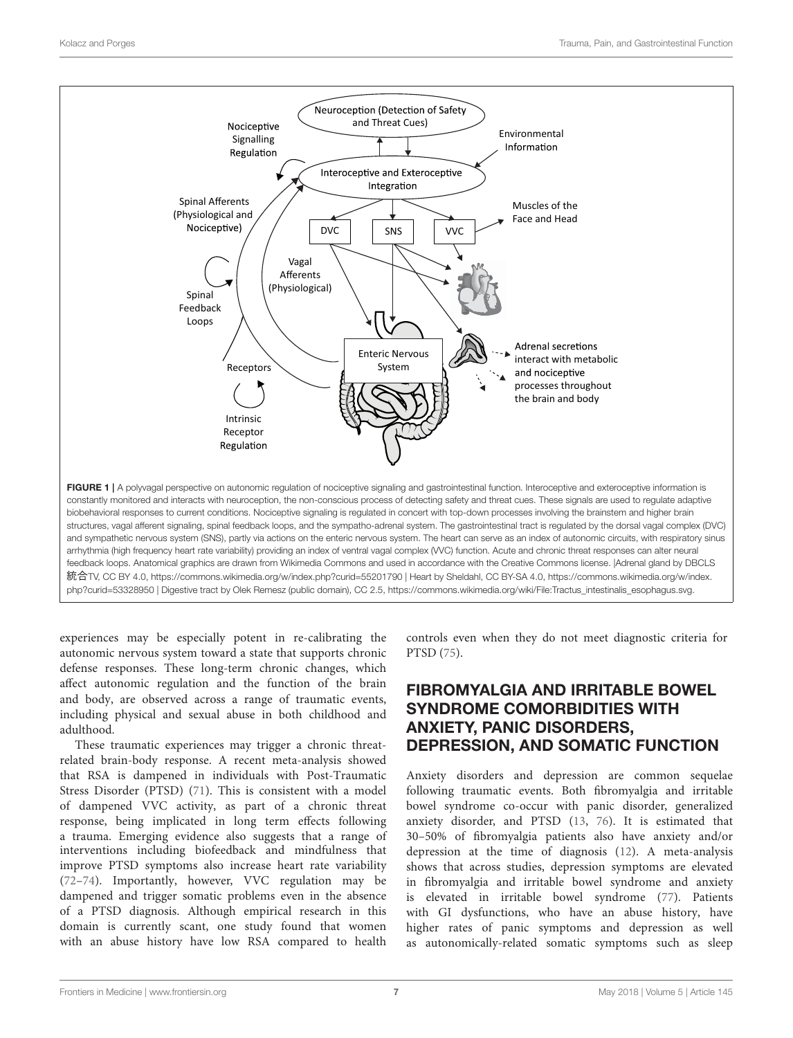

<span id="page-6-0"></span>experiences may be especially potent in re-calibrating the autonomic nervous system toward a state that supports chronic defense responses. These long-term chronic changes, which affect autonomic regulation and the function of the brain and body, are observed across a range of traumatic events, including physical and sexual abuse in both childhood and adulthood.

These traumatic experiences may trigger a chronic threatrelated brain-body response. A recent meta-analysis showed that RSA is dampened in individuals with Post-Traumatic Stress Disorder (PTSD) [\(71\)](#page-10-6). This is consistent with a model of dampened VVC activity, as part of a chronic threat response, being implicated in long term effects following a trauma. Emerging evidence also suggests that a range of interventions including biofeedback and mindfulness that improve PTSD symptoms also increase heart rate variability [\(72](#page-10-7)[–74\)](#page-10-8). Importantly, however, VVC regulation may be dampened and trigger somatic problems even in the absence of a PTSD diagnosis. Although empirical research in this domain is currently scant, one study found that women with an abuse history have low RSA compared to health controls even when they do not meet diagnostic criteria for PTSD [\(75\)](#page-10-9).

# FIBROMYALGIA AND IRRITABLE BOWEL SYNDROME COMORBIDITIES WITH ANXIETY, PANIC DISORDERS, DEPRESSION, AND SOMATIC FUNCTION

Anxiety disorders and depression are common sequelae following traumatic events. Both fibromyalgia and irritable bowel syndrome co-occur with panic disorder, generalized anxiety disorder, and PTSD [\(13,](#page-8-10) [76\)](#page-10-10). It is estimated that 30–50% of fibromyalgia patients also have anxiety and/or depression at the time of diagnosis [\(12\)](#page-8-9). A meta-analysis shows that across studies, depression symptoms are elevated in fibromyalgia and irritable bowel syndrome and anxiety is elevated in irritable bowel syndrome [\(77\)](#page-10-11). Patients with GI dysfunctions, who have an abuse history, have higher rates of panic symptoms and depression as well as autonomically-related somatic symptoms such as sleep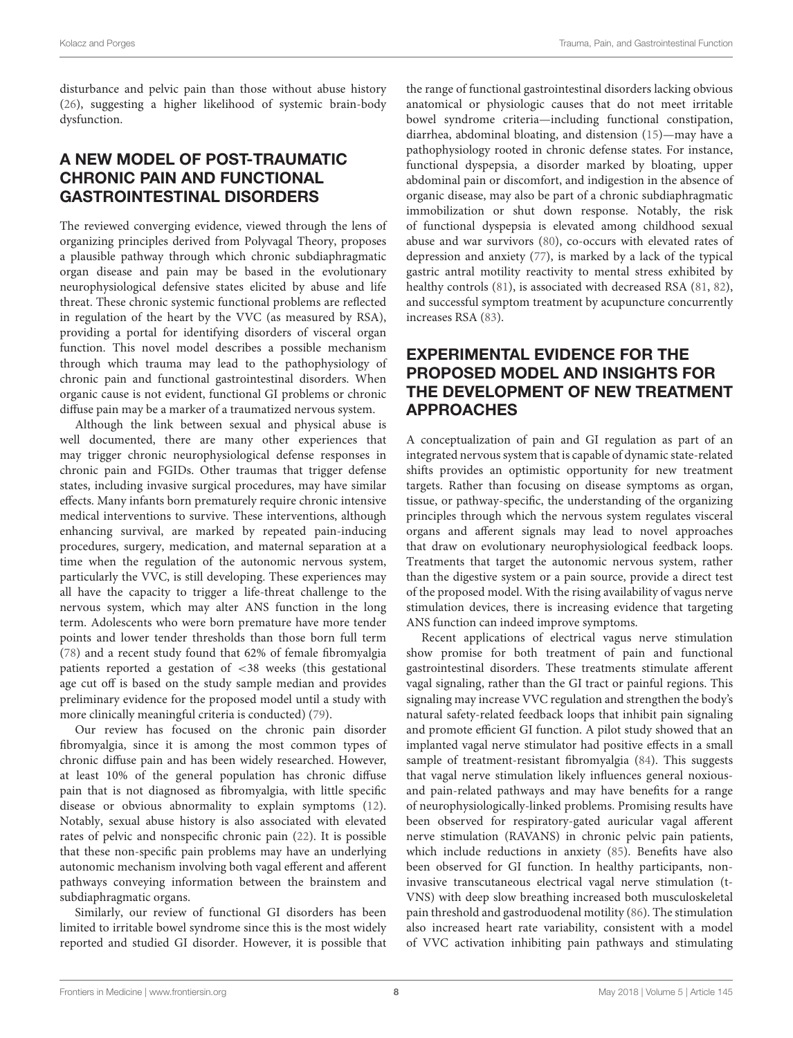disturbance and pelvic pain than those without abuse history [\(26\)](#page-9-6), suggesting a higher likelihood of systemic brain-body dysfunction.

# A NEW MODEL OF POST-TRAUMATIC CHRONIC PAIN AND FUNCTIONAL GASTROINTESTINAL DISORDERS

The reviewed converging evidence, viewed through the lens of organizing principles derived from Polyvagal Theory, proposes a plausible pathway through which chronic subdiaphragmatic organ disease and pain may be based in the evolutionary neurophysiological defensive states elicited by abuse and life threat. These chronic systemic functional problems are reflected in regulation of the heart by the VVC (as measured by RSA), providing a portal for identifying disorders of visceral organ function. This novel model describes a possible mechanism through which trauma may lead to the pathophysiology of chronic pain and functional gastrointestinal disorders. When organic cause is not evident, functional GI problems or chronic diffuse pain may be a marker of a traumatized nervous system.

Although the link between sexual and physical abuse is well documented, there are many other experiences that may trigger chronic neurophysiological defense responses in chronic pain and FGIDs. Other traumas that trigger defense states, including invasive surgical procedures, may have similar effects. Many infants born prematurely require chronic intensive medical interventions to survive. These interventions, although enhancing survival, are marked by repeated pain-inducing procedures, surgery, medication, and maternal separation at a time when the regulation of the autonomic nervous system, particularly the VVC, is still developing. These experiences may all have the capacity to trigger a life-threat challenge to the nervous system, which may alter ANS function in the long term. Adolescents who were born premature have more tender points and lower tender thresholds than those born full term [\(78\)](#page-10-12) and a recent study found that 62% of female fibromyalgia patients reported a gestation of <38 weeks (this gestational age cut off is based on the study sample median and provides preliminary evidence for the proposed model until a study with more clinically meaningful criteria is conducted) [\(79\)](#page-10-13).

Our review has focused on the chronic pain disorder fibromyalgia, since it is among the most common types of chronic diffuse pain and has been widely researched. However, at least 10% of the general population has chronic diffuse pain that is not diagnosed as fibromyalgia, with little specific disease or obvious abnormality to explain symptoms [\(12\)](#page-8-9). Notably, sexual abuse history is also associated with elevated rates of pelvic and nonspecific chronic pain [\(22\)](#page-9-2). It is possible that these non-specific pain problems may have an underlying autonomic mechanism involving both vagal efferent and afferent pathways conveying information between the brainstem and subdiaphragmatic organs.

Similarly, our review of functional GI disorders has been limited to irritable bowel syndrome since this is the most widely reported and studied GI disorder. However, it is possible that the range of functional gastrointestinal disorders lacking obvious anatomical or physiologic causes that do not meet irritable bowel syndrome criteria—including functional constipation, diarrhea, abdominal bloating, and distension [\(15\)](#page-8-12)—may have a pathophysiology rooted in chronic defense states. For instance, functional dyspepsia, a disorder marked by bloating, upper abdominal pain or discomfort, and indigestion in the absence of organic disease, may also be part of a chronic subdiaphragmatic immobilization or shut down response. Notably, the risk of functional dyspepsia is elevated among childhood sexual abuse and war survivors [\(80\)](#page-10-14), co-occurs with elevated rates of depression and anxiety [\(77\)](#page-10-11), is marked by a lack of the typical gastric antral motility reactivity to mental stress exhibited by healthy controls [\(81\)](#page-10-15), is associated with decreased RSA [\(81,](#page-10-15) [82\)](#page-10-16), and successful symptom treatment by acupuncture concurrently increases RSA [\(83\)](#page-10-17).

# EXPERIMENTAL EVIDENCE FOR THE PROPOSED MODEL AND INSIGHTS FOR THE DEVELOPMENT OF NEW TREATMENT APPROACHES

A conceptualization of pain and GI regulation as part of an integrated nervous system that is capable of dynamic state-related shifts provides an optimistic opportunity for new treatment targets. Rather than focusing on disease symptoms as organ, tissue, or pathway-specific, the understanding of the organizing principles through which the nervous system regulates visceral organs and afferent signals may lead to novel approaches that draw on evolutionary neurophysiological feedback loops. Treatments that target the autonomic nervous system, rather than the digestive system or a pain source, provide a direct test of the proposed model. With the rising availability of vagus nerve stimulation devices, there is increasing evidence that targeting ANS function can indeed improve symptoms.

Recent applications of electrical vagus nerve stimulation show promise for both treatment of pain and functional gastrointestinal disorders. These treatments stimulate afferent vagal signaling, rather than the GI tract or painful regions. This signaling may increase VVC regulation and strengthen the body's natural safety-related feedback loops that inhibit pain signaling and promote efficient GI function. A pilot study showed that an implanted vagal nerve stimulator had positive effects in a small sample of treatment-resistant fibromyalgia [\(84\)](#page-10-18). This suggests that vagal nerve stimulation likely influences general noxiousand pain-related pathways and may have benefits for a range of neurophysiologically-linked problems. Promising results have been observed for respiratory-gated auricular vagal afferent nerve stimulation (RAVANS) in chronic pelvic pain patients, which include reductions in anxiety [\(85\)](#page-10-19). Benefits have also been observed for GI function. In healthy participants, noninvasive transcutaneous electrical vagal nerve stimulation (t-VNS) with deep slow breathing increased both musculoskeletal pain threshold and gastroduodenal motility [\(86\)](#page-10-20). The stimulation also increased heart rate variability, consistent with a model of VVC activation inhibiting pain pathways and stimulating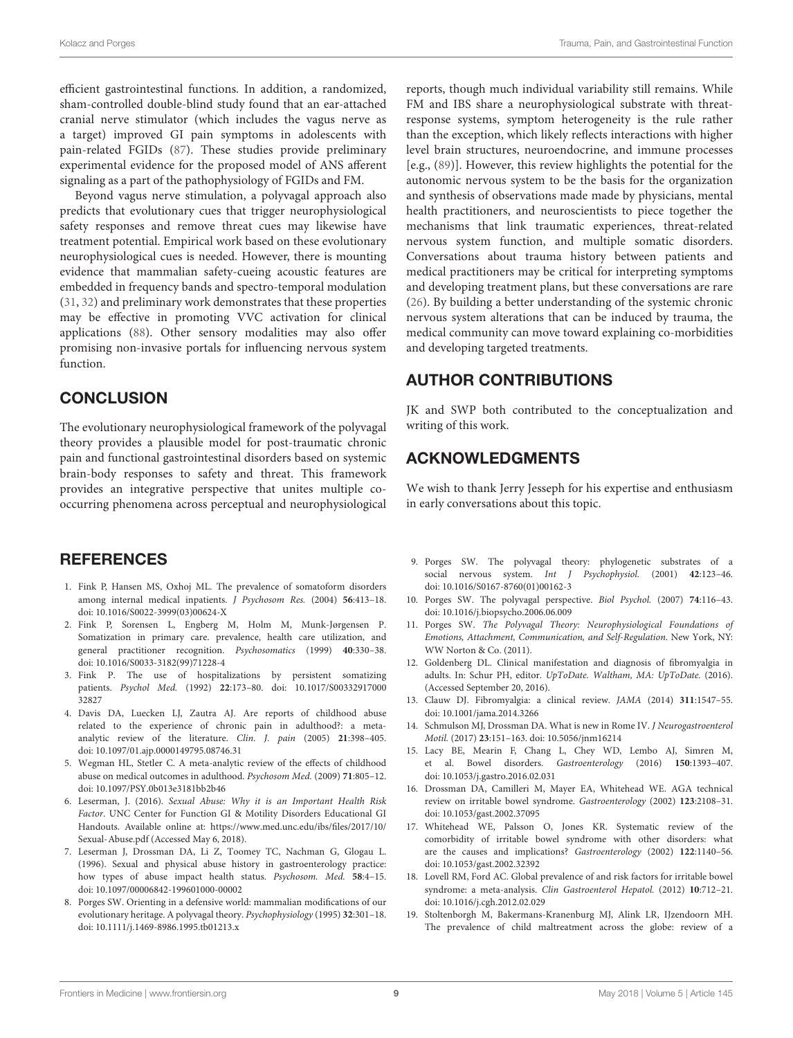efficient gastrointestinal functions. In addition, a randomized, sham-controlled double-blind study found that an ear-attached cranial nerve stimulator (which includes the vagus nerve as a target) improved GI pain symptoms in adolescents with pain-related FGIDs [\(87\)](#page-10-21). These studies provide preliminary experimental evidence for the proposed model of ANS afferent signaling as a part of the pathophysiology of FGIDs and FM.

Beyond vagus nerve stimulation, a polyvagal approach also predicts that evolutionary cues that trigger neurophysiological safety responses and remove threat cues may likewise have treatment potential. Empirical work based on these evolutionary neurophysiological cues is needed. However, there is mounting evidence that mammalian safety-cueing acoustic features are embedded in frequency bands and spectro-temporal modulation [\(31,](#page-9-9) [32\)](#page-9-10) and preliminary work demonstrates that these properties may be effective in promoting VVC activation for clinical applications [\(88\)](#page-10-22). Other sensory modalities may also offer promising non-invasive portals for influencing nervous system function.

#### **CONCLUSION**

The evolutionary neurophysiological framework of the polyvagal theory provides a plausible model for post-traumatic chronic pain and functional gastrointestinal disorders based on systemic brain-body responses to safety and threat. This framework provides an integrative perspective that unites multiple cooccurring phenomena across perceptual and neurophysiological

## **REFERENCES**

- <span id="page-8-0"></span>1. Fink P, Hansen MS, Oxhoj ML. The prevalence of somatoform disorders among internal medical inpatients. J Psychosom Res. (2004) **56**:413–18. doi: [10.1016/S0022-3999\(03\)00624-X](https://doi.org/10.1016/S0022-3999(03)00624-X)
- <span id="page-8-1"></span>2. Fink P, Sorensen L, Engberg M, Holm M, Munk-Jørgensen P. Somatization in primary care. prevalence, health care utilization, and general practitioner recognition. Psychosomatics (1999) **40**:330–38. doi: [10.1016/S0033-3182\(99\)71228-4](https://doi.org/10.1016/S0033-3182(99)71228-4)
- <span id="page-8-2"></span>3. Fink P. The use of hospitalizations by persistent somatizing patients. Psychol Med. (1992) **22**[:173–80. doi: 10.1017/S00332917000](https://doi.org/10.1017/S0033291700032827) 32827
- <span id="page-8-3"></span>4. Davis DA, Luecken LJ, Zautra AJ. Are reports of childhood abuse related to the experience of chronic pain in adulthood?: a metaanalytic review of the literature. Clin. J. pain (2005) **21**:398–405. doi: [10.1097/01.ajp.0000149795.08746.31](https://doi.org/10.1097/01.ajp.0000149795.08746.31)
- <span id="page-8-4"></span>5. Wegman HL, Stetler C. A meta-analytic review of the effects of childhood abuse on medical outcomes in adulthood. Psychosom Med. (2009) **71**:805–12. doi: [10.1097/PSY.0b013e3181bb2b46](https://doi.org/10.1097/PSY.0b013e3181bb2b46)
- <span id="page-8-5"></span>6. Leserman, J. (2016). Sexual Abuse: Why it is an Important Health Risk Factor. UNC Center for Function GI & Motility Disorders Educational GI Handouts. Available online at: [https://www.med.unc.edu/ibs/files/2017/10/](https://www.med.unc.edu/ibs/files/2017/10/Sexual-Abuse.pdf) [Sexual-Abuse.pdf](https://www.med.unc.edu/ibs/files/2017/10/Sexual-Abuse.pdf) (Accessed May 6, 2018).
- <span id="page-8-6"></span>7. Leserman J, Drossman DA, Li Z, Toomey TC, Nachman G, Glogau L. (1996). Sexual and physical abuse history in gastroenterology practice: how types of abuse impact health status. Psychosom. Med. **58**:4–15. doi: [10.1097/00006842-199601000-00002](https://doi.org/10.1097/00006842-199601000-00002)
- <span id="page-8-7"></span>8. Porges SW. Orienting in a defensive world: mammalian modifications of our evolutionary heritage. A polyvagal theory. Psychophysiology (1995) **32**:301–18. doi: [10.1111/j.1469-8986.1995.tb01213.x](https://doi.org/10.1111/j.1469-8986.1995.tb01213.x)

reports, though much individual variability still remains. While FM and IBS share a neurophysiological substrate with threatresponse systems, symptom heterogeneity is the rule rather than the exception, which likely reflects interactions with higher level brain structures, neuroendocrine, and immune processes [e.g., [\(89\)](#page-10-23)]. However, this review highlights the potential for the autonomic nervous system to be the basis for the organization and synthesis of observations made made by physicians, mental health practitioners, and neuroscientists to piece together the mechanisms that link traumatic experiences, threat-related nervous system function, and multiple somatic disorders. Conversations about trauma history between patients and medical practitioners may be critical for interpreting symptoms and developing treatment plans, but these conversations are rare [\(26\)](#page-9-6). By building a better understanding of the systemic chronic nervous system alterations that can be induced by trauma, the medical community can move toward explaining co-morbidities and developing targeted treatments.

# AUTHOR CONTRIBUTIONS

JK and SWP both contributed to the conceptualization and writing of this work.

#### ACKNOWLEDGMENTS

We wish to thank Jerry Jesseph for his expertise and enthusiasm in early conversations about this topic.

- 9. Porges SW. The polyvagal theory: phylogenetic substrates of a social nervous system. Int J Psychophysiol. (2001) **42**:123–46. doi: [10.1016/S0167-8760\(01\)00162-3](https://doi.org/10.1016/S0167-8760(01)00162-3)
- 10. Porges SW. The polyvagal perspective. Biol Psychol. (2007) **74**:116–43. doi: [10.1016/j.biopsycho.2006.06.009](https://doi.org/10.1016/j.biopsycho.2006.06.009)
- <span id="page-8-8"></span>11. Porges SW. The Polyvagal Theory: Neurophysiological Foundations of Emotions, Attachment, Communication, and Self-Regulation. New York, NY: WW Norton & Co. (2011).
- <span id="page-8-9"></span>12. Goldenberg DL. Clinical manifestation and diagnosis of fibromyalgia in adults. In: Schur PH, editor. UpToDate. Waltham, MA: UpToDate. (2016). (Accessed September 20, 2016).
- <span id="page-8-10"></span>13. Clauw DJ. Fibromyalgia: a clinical review. JAMA (2014) **311**:1547–55. doi: [10.1001/jama.2014.3266](https://doi.org/10.1001/jama.2014.3266)
- <span id="page-8-11"></span>14. Schmulson MJ, Drossman DA. What is new in Rome IV. J Neurogastroenterol Motil. (2017) **23**:151–163. doi: [10.5056/jnm16214](https://doi.org/10.5056/jnm16214)
- <span id="page-8-12"></span>15. Lacy BE, Mearin F, Chang L, Chey WD, Lembo AJ, Simren M, et al. Bowel disorders. Gastroenterology (2016) **150**:1393–407. doi: [10.1053/j.gastro.2016.02.031](https://doi.org/10.1053/j.gastro.2016.02.031)
- <span id="page-8-13"></span>16. Drossman DA, Camilleri M, Mayer EA, Whitehead WE. AGA technical review on irritable bowel syndrome. Gastroenterology (2002) **123**:2108–31. doi: [10.1053/gast.2002.37095](https://doi.org/10.1053/gast.2002.37095)
- <span id="page-8-14"></span>17. Whitehead WE, Palsson O, Jones KR. Systematic review of the comorbidity of irritable bowel syndrome with other disorders: what are the causes and implications? Gastroenterology (2002) **122**:1140–56. doi: [10.1053/gast.2002.32392](https://doi.org/10.1053/gast.2002.32392)
- <span id="page-8-15"></span>18. Lovell RM, Ford AC. Global prevalence of and risk factors for irritable bowel syndrome: a meta-analysis. Clin Gastroenterol Hepatol. (2012) **10**:712–21. doi: [10.1016/j.cgh.2012.02.029](https://doi.org/10.1016/j.cgh.2012.02.029)
- <span id="page-8-16"></span>19. Stoltenborgh M, Bakermans-Kranenburg MJ, Alink LR, IJzendoorn MH. The prevalence of child maltreatment across the globe: review of a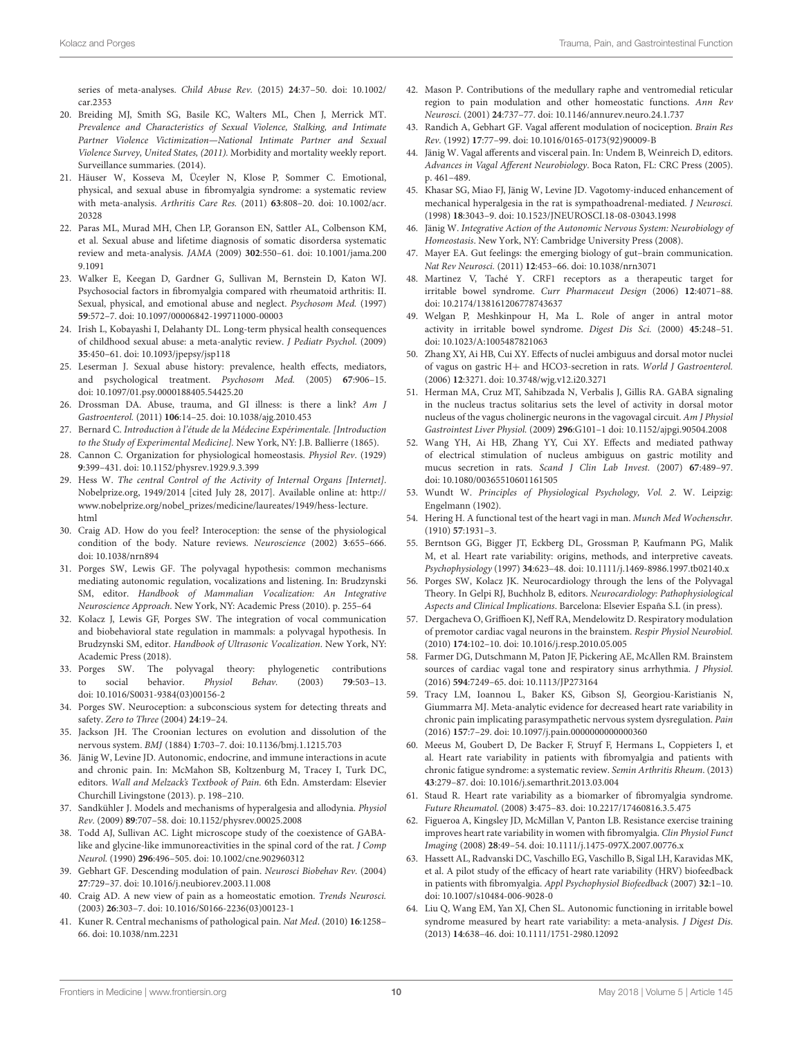[series of meta-analyses.](https://doi.org/10.1002/car.2353) Child Abuse Rev. (2015) **24**:37–50. doi: 10.1002/ car.2353

- <span id="page-9-0"></span>20. Breiding MJ, Smith SG, Basile KC, Walters ML, Chen J, Merrick MT. Prevalence and Characteristics of Sexual Violence, Stalking, and Intimate Partner Violence Victimization—National Intimate Partner and Sexual Violence Survey, United States, (2011). Morbidity and mortality weekly report. Surveillance summaries. (2014).
- <span id="page-9-1"></span>21. Häuser W, Kosseva M, Üceyler N, Klose P, Sommer C. Emotional, physical, and sexual abuse in fibromyalgia syndrome: a systematic review with meta-analysis. Arthritis Care Res. (2011) **63**[:808–20. doi: 10.1002/acr.](https://doi.org/10.1002/acr.20328) 20328
- <span id="page-9-2"></span>22. Paras ML, Murad MH, Chen LP, Goranson EN, Sattler AL, Colbenson KM, et al. Sexual abuse and lifetime diagnosis of somatic disordersa systematic review and meta-analysis. JAMA (2009) **302**[:550–61. doi: 10.1001/jama.200](https://doi.org/10.1001/jama.2009.1091) 9.1091
- <span id="page-9-3"></span>23. Walker E, Keegan D, Gardner G, Sullivan M, Bernstein D, Katon WJ. Psychosocial factors in fibromyalgia compared with rheumatoid arthritis: II. Sexual, physical, and emotional abuse and neglect. Psychosom Med. (1997) **59**:572–7. doi: [10.1097/00006842-199711000-00003](https://doi.org/10.1097/00006842-199711000-00003)
- <span id="page-9-4"></span>24. Irish L, Kobayashi I, Delahanty DL. Long-term physical health consequences of childhood sexual abuse: a meta-analytic review. J Pediatr Psychol. (2009) **35**:450–61. doi: [10.1093/jpepsy/jsp118](https://doi.org/10.1093/jpepsy/jsp118)
- <span id="page-9-5"></span>25. Leserman J. Sexual abuse history: prevalence, health effects, mediators, and psychological treatment. Psychosom Med. (2005) **67**:906–15. doi: [10.1097/01.psy.0000188405.54425.20](https://doi.org/10.1097/01.psy.0000188405.54425.20)
- <span id="page-9-6"></span>26. Drossman DA. Abuse, trauma, and GI illness: is there a link? Am J Gastroenterol. (2011) **106**:14–25. doi: [10.1038/ajg.2010.453](https://doi.org/10.1038/ajg.2010.453)
- <span id="page-9-7"></span>27. Bernard C. Introduction à l'étude de la Médecine Expérimentale. [Introduction to the Study of Experimental Medicine]. New York, NY: J.B. Ballierre (1865).
- 28. Cannon C. Organization for physiological homeostasis. Physiol Rev. (1929) **9**:399–431. doi: [10.1152/physrev.1929.9.3.399](https://doi.org/10.1152/physrev.1929.9.3.399)
- 29. Hess W. The central Control of the Activity of Internal Organs [Internet]. Nobelprize.org, 1949/2014 [cited July 28, 2017]. Available online at: [http://](http://www.nobelprize.org/nobel_prizes/medicine/laureates/1949/hess-lecture.html) [www.nobelprize.org/nobel\\_prizes/medicine/laureates/1949/hess-lecture.](http://www.nobelprize.org/nobel_prizes/medicine/laureates/1949/hess-lecture.html) [html](http://www.nobelprize.org/nobel_prizes/medicine/laureates/1949/hess-lecture.html)
- <span id="page-9-8"></span>30. Craig AD. How do you feel? Interoception: the sense of the physiological condition of the body. Nature reviews. Neuroscience (2002) **3**:655–666. doi: [10.1038/nrn894](https://doi.org/10.1038/nrn894)
- <span id="page-9-9"></span>31. Porges SW, Lewis GF. The polyvagal hypothesis: common mechanisms mediating autonomic regulation, vocalizations and listening. In: Brudzynski SM, editor. Handbook of Mammalian Vocalization: An Integrative Neuroscience Approach. New York, NY: Academic Press (2010). p. 255–64
- <span id="page-9-10"></span>32. Kolacz J, Lewis GF, Porges SW. The integration of vocal communication and biobehavioral state regulation in mammals: a polyvagal hypothesis. In Brudzynski SM, editor. Handbook of Ultrasonic Vocalization. New York, NY: Academic Press (2018).
- <span id="page-9-11"></span>33. Porges SW. The polyvagal theory: phylogenetic contributions to social behavior. Physiol Behav. (2003) **79**:503–13. doi: [10.1016/S0031-9384\(03\)00156-2](https://doi.org/10.1016/S0031-9384(03)00156-2)
- <span id="page-9-12"></span>34. Porges SW. Neuroception: a subconscious system for detecting threats and safety. Zero to Three (2004) **24**:19–24.
- <span id="page-9-13"></span>35. Jackson JH. The Croonian lectures on evolution and dissolution of the nervous system. BMJ (1884) **1**:703–7. doi: [10.1136/bmj.1.1215.703](https://doi.org/10.1136/bmj.1.1215.703)
- <span id="page-9-14"></span>36. Jänig W, Levine JD. Autonomic, endocrine, and immune interactions in acute and chronic pain. In: McMahon SB, Koltzenburg M, Tracey I, Turk DC, editors. Wall and Melzack's Textbook of Pain. 6th Edn. Amsterdam: Elsevier Churchill Livingstone (2013). p. 198–210.
- <span id="page-9-15"></span>37. Sandkühler J. Models and mechanisms of hyperalgesia and allodynia. Physiol Rev. (2009) **89**:707–58. doi: [10.1152/physrev.00025.2008](https://doi.org/10.1152/physrev.00025.2008)
- <span id="page-9-16"></span>38. Todd AJ, Sullivan AC. Light microscope study of the coexistence of GABAlike and glycine-like immunoreactivities in the spinal cord of the rat. J Comp Neurol. (1990) **296**:496–505. doi: [10.1002/cne.902960312](https://doi.org/10.1002/cne.902960312)
- <span id="page-9-17"></span>39. Gebhart GF. Descending modulation of pain. Neurosci Biobehav Rev. (2004) **27**:729–37. doi: [10.1016/j.neubiorev.2003.11.008](https://doi.org/10.1016/j.neubiorev.2003.11.008)
- <span id="page-9-18"></span>40. Craig AD. A new view of pain as a homeostatic emotion. Trends Neurosci. (2003) **26**:303–7. doi: [10.1016/S0166-2236\(03\)00123-1](https://doi.org/10.1016/S0166-2236(03)00123-1)
- <span id="page-9-19"></span>41. Kuner R. Central mechanisms of pathological pain. Nat Med. (2010) **16**:1258– 66. doi: [10.1038/nm.2231](https://doi.org/10.1038/nm.2231)
- <span id="page-9-20"></span>42. Mason P. Contributions of the medullary raphe and ventromedial reticular region to pain modulation and other homeostatic functions. Ann Rev Neurosci. (2001) **24**:737–77. doi: [10.1146/annurev.neuro.24.1.737](https://doi.org/10.1146/annurev.neuro.24.1.737)
- <span id="page-9-21"></span>43. Randich A, Gebhart GF. Vagal afferent modulation of nociception. Brain Res Rev. (1992) **17**:77–99. doi: [10.1016/0165-0173\(92\)90009-B](https://doi.org/10.1016/0165-0173(92)90009-B)
- <span id="page-9-22"></span>44. Jänig W. Vagal afferents and visceral pain. In: Undem B, Weinreich D, editors. Advances in Vagal Afferent Neurobiology. Boca Raton, FL: CRC Press (2005). p. 461–489.
- <span id="page-9-23"></span>45. Khasar SG, Miao FJ, Jänig W, Levine JD. Vagotomy-induced enhancement of mechanical hyperalgesia in the rat is sympathoadrenal-mediated. J Neurosci. (1998) **18**:3043–9. doi: [10.1523/JNEUROSCI.18-08-03043.1998](https://doi.org/10.1523/JNEUROSCI.18-08-03043.1998)
- <span id="page-9-26"></span>46. Jänig W. Integrative Action of the Autonomic Nervous System: Neurobiology of Homeostasis. New York, NY: Cambridge University Press (2008).
- <span id="page-9-24"></span>47. Mayer EA. Gut feelings: the emerging biology of gut–brain communication. Nat Rev Neurosci. (2011) **12**:453–66. doi: [10.1038/nrn3071](https://doi.org/10.1038/nrn3071)
- <span id="page-9-25"></span>48. Martinez V, Taché Y. CRF1 receptors as a therapeutic target for irritable bowel syndrome. Curr Pharmaceut Design (2006) **12**:4071–88. doi: [10.2174/138161206778743637](https://doi.org/10.2174/138161206778743637)
- <span id="page-9-27"></span>49. Welgan P, Meshkinpour H, Ma L. Role of anger in antral motor activity in irritable bowel syndrome. Digest Dis Sci. (2000) **45**:248–51. doi: [10.1023/A:1005487821063](https://doi.org/10.1023/A:1005487821063)
- <span id="page-9-28"></span>50. Zhang XY, Ai HB, Cui XY. Effects of nuclei ambiguus and dorsal motor nuclei of vagus on gastric H+ and HCO3-secretion in rats. World J Gastroenterol. (2006) **12**:3271. doi: [10.3748/wjg.v12.i20.3271](https://doi.org/10.3748/wjg.v12.i20.3271)
- <span id="page-9-29"></span>51. Herman MA, Cruz MT, Sahibzada N, Verbalis J, Gillis RA. GABA signaling in the nucleus tractus solitarius sets the level of activity in dorsal motor nucleus of the vagus cholinergic neurons in the vagovagal circuit. Am J Physiol Gastrointest Liver Physiol. (2009) **296**:G101–1 doi: [10.1152/ajpgi.90504.2008](https://doi.org/10.1152/ajpgi.90504.2008)
- <span id="page-9-30"></span>52. Wang YH, Ai HB, Zhang YY, Cui XY. Effects and mediated pathway of electrical stimulation of nucleus ambiguus on gastric motility and mucus secretion in rats. Scand J Clin Lab Invest. (2007) **67**:489–97. doi: [10.1080/00365510601161505](https://doi.org/10.1080/00365510601161505)
- <span id="page-9-31"></span>53. Wundt W. Principles of Physiological Psychology, Vol. 2. W. Leipzig: Engelmann (1902).
- <span id="page-9-32"></span>54. Hering H. A functional test of the heart vagi in man. Munch Med Wochenschr. (1910) **57**:1931–3.
- <span id="page-9-33"></span>55. Berntson GG, Bigger JT, Eckberg DL, Grossman P, Kaufmann PG, Malik M, et al. Heart rate variability: origins, methods, and interpretive caveats. Psychophysiology (1997) **34**:623–48. doi: [10.1111/j.1469-8986.1997.tb02140.x](https://doi.org/10.1111/j.1469-8986.1997.tb02140.x)
- <span id="page-9-34"></span>56. Porges SW, Kolacz JK. Neurocardiology through the lens of the Polyvagal Theory. In Gelpi RJ, Buchholz B, editors. Neurocardiology: Pathophysiological Aspects and Clinical Implications. Barcelona: Elsevier España S.L (in press).
- <span id="page-9-35"></span>57. Dergacheva O, Griffioen KJ, Neff RA, Mendelowitz D. Respiratory modulation of premotor cardiac vagal neurons in the brainstem. Respir Physiol Neurobiol. (2010) **174**:102–10. doi: [10.1016/j.resp.2010.05.005](https://doi.org/10.1016/j.resp.2010.05.005)
- <span id="page-9-36"></span>58. Farmer DG, Dutschmann M, Paton JF, Pickering AE, McAllen RM. Brainstem sources of cardiac vagal tone and respiratory sinus arrhythmia. J Physiol. (2016) **594**:7249–65. doi: [10.1113/JP273164](https://doi.org/10.1113/JP273164)
- <span id="page-9-37"></span>59. Tracy LM, Ioannou L, Baker KS, Gibson SJ, Georgiou-Karistianis N, Giummarra MJ. Meta-analytic evidence for decreased heart rate variability in chronic pain implicating parasympathetic nervous system dysregulation. Pain (2016) **157**:7–29. doi: [10.1097/j.pain.0000000000000360](https://doi.org/10.1097/j.pain.0000000000000360)
- 60. Meeus M, Goubert D, De Backer F, Struyf F, Hermans L, Coppieters I, et al. Heart rate variability in patients with fibromyalgia and patients with chronic fatigue syndrome: a systematic review. Semin Arthritis Rheum. (2013) **43**:279–87. doi: [10.1016/j.semarthrit.2013.03.004](https://doi.org/10.1016/j.semarthrit.2013.03.004)
- <span id="page-9-38"></span>61. Staud R. Heart rate variability as a biomarker of fibromyalgia syndrome. Future Rheumatol. (2008) **3**:475–83. doi: [10.2217/17460816.3.5.475](https://doi.org/10.2217/17460816.3.5.475)
- <span id="page-9-39"></span>62. Figueroa A, Kingsley JD, McMillan V, Panton LB. Resistance exercise training improves heart rate variability in women with fibromyalgia. Clin Physiol Funct Imaging (2008) **28**:49–54. doi: [10.1111/j.1475-097X.2007.00776.x](https://doi.org/10.1111/j.1475-097X.2007.00776.x)
- <span id="page-9-40"></span>63. Hassett AL, Radvanski DC, Vaschillo EG, Vaschillo B, Sigal LH, Karavidas MK, et al. A pilot study of the efficacy of heart rate variability (HRV) biofeedback in patients with fibromyalgia. Appl Psychophysiol Biofeedback (2007) **32**:1–10. doi: [10.1007/s10484-006-9028-0](https://doi.org/10.1007/s10484-006-9028-0)
- <span id="page-9-41"></span>64. Liu Q, Wang EM, Yan XJ, Chen SL. Autonomic functioning in irritable bowel syndrome measured by heart rate variability: a meta-analysis. J Digest Dis. (2013) **14**:638–46. doi: [10.1111/1751-2980.12092](https://doi.org/10.1111/1751-2980.12092)